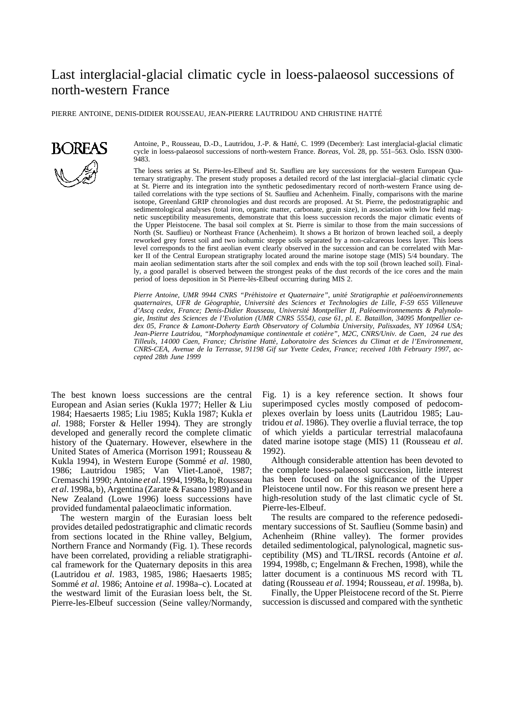# Last interglacial-glacial climatic cycle in loess-palaeosol successions of north-western France

PIERRE ANTOINE, DENIS-DIDIER ROUSSEAU, JEAN-PIERRE LAUTRIDOU AND CHRISTINE HATTE´



Antoine, P., Rousseau, D.-D., Lautridou, J.-P. & Hatté, C. 1999 (December): Last interglacial-glacial climatic cycle in loess-palaeosol successions of north-western France. *Boreas,* Vol. 28, pp. 551–563. Oslo. ISSN 0300- 9483.

The loess series at St. Pierre-les-Elbeuf and St. Sauflieu are key successions for the western European Quaternary stratigraphy. The present study proposes a detailed record of the last interglacial–glacial climatic cycle at St. Pierre and its integration into the synthetic pedosedimentary record of north-western France using detailed correlations with the type sections of St. Sauflieu and Achenheim. Finally, comparisons with the marine isotope, Greenland GRIP chronologies and dust records are proposed. At St. Pierre, the pedostratigraphic and sedimentological analyses (total iron, organic matter, carbonate, grain size), in association with low field magnetic susceptibility measurements, demonstrate that this loess succession records the major climatic events of the Upper Pleistocene. The basal soil complex at St. Pierre is similar to those from the main successions of North (St. Sauflieu) or Northeast France (Achenheim). It shows a Bt horizon of brown leached soil, a deeply reworked grey forest soil and two isohumic steppe soils separated by a non-calcareous loess layer. This loess level corresponds to the first aeolian event clearly observed in the succession and can be correlated with Marker II of the Central European stratigraphy located around the marine isotope stage (MIS) 5/4 boundary. The main aeolian sedimentation starts after the soil complex and ends with the top soil (brown leached soil). Finally, a good parallel is observed between the strongest peaks of the dust records of the ice cores and the main period of loess deposition in St Pierre-lès-Elbeuf occurring during MIS 2.

Pierre Antoine, UMR 9944 CNRS "Préhistoire et Quaternaire", unité Stratigraphie et paléoenvironnements *quaternaires, UFR de Ge´ographie, Universite´ des Sciences et Technologies de Lille, F-59 655 Villeneuve* d'Ascq cedex, France; Denis-Didier Rousseau, Université Montpellier II, Paléoenvironnements & Palynolo*gie, Institut des Sciences de l'Evolution (UMR CNRS 5554), case 61, pl. E. Bataillon, 34095 Montpellier cedex 05, France & Lamont-Doherty Earth Observatory of Columbia University, Palisxades, NY 10964 USA;* Jean-Pierre Lautridou, "Morphodynamique continentale et cotière", M2C, CNRS/Univ. de Caen, 24 rue des *Tilleuls, 14000 Caen, France; Christine Hatte´, Laboratoire des Sciences du Climat et de l'Environnement, CNRS-CEA, Avenue de la Terrasse, 91198 Gif sur Yvette Cedex, France; received 10th February 1997, accepted 28th June 1999*

The best known loess successions are the central European and Asian series (Kukla 1977; Heller & Liu 1984; Haesaerts 1985; Liu 1985; Kukla 1987; Kukla *et al*. 1988; Forster & Heller 1994). They are strongly developed and generally record the complete climatic history of the Quaternary. However, elsewhere in the United States of America (Morrison 1991; Rousseau & Kukla 1994), in Western Europe (Sommé et al. 1980, 1986; Lautridou 1985; Van Vliet-Lanoë, 1987; Cremaschi 1990; Antoine *et al*. 1994, 1998a, b; Rousseau *et al*. 1998a, b), Argentina (Zarate & Fasano 1989) and in New Zealand (Lowe 1996) loess successions have provided fundamental palaeoclimatic information.

The western margin of the Eurasian loess belt provides detailed pedostratigraphic and climatic records from sections located in the Rhine valley, Belgium, Northern France and Normandy (Fig. 1). These records have been correlated, providing a reliable stratigraphical framework for the Quaternary deposits in this area (Lautridou *et al*. 1983, 1985, 1986; Haesaerts 1985; Sommé et al. 1986; Antoine et al. 1998a–c). Located at the westward limit of the Eurasian loess belt, the St. Pierre-les-Elbeuf succession (Seine valley/Normandy,

Fig. 1) is a key reference section. It shows four superimposed cycles mostly composed of pedocomplexes overlain by loess units (Lautridou 1985; Lautridou *et al*. 1986). They overlie a fluvial terrace, the top of which yields a particular terrestrial malacofauna dated marine isotope stage (MIS) 11 (Rousseau *et al*. 1992).

Although considerable attention has been devoted to the complete loess-palaeosol succession, little interest has been focused on the significance of the Upper Pleistocene until now. For this reason we present here a high-resolution study of the last climatic cycle of St. Pierre-les-Elbeuf.

The results are compared to the reference pedosedimentary successions of St. Sauflieu (Somme basin) and Achenheim (Rhine valley). The former provides detailed sedimentological, palynological, magnetic susceptibility (MS) and TL/IRSL records (Antoine *et al*. 1994, 1998b, c; Engelmann & Frechen, 1998), while the latter document is a continuous MS record with TL dating (Rousseau *et al*. 1994; Rousseau, *et al*. 1998a, b).

Finally, the Upper Pleistocene record of the St. Pierre succession is discussed and compared with the synthetic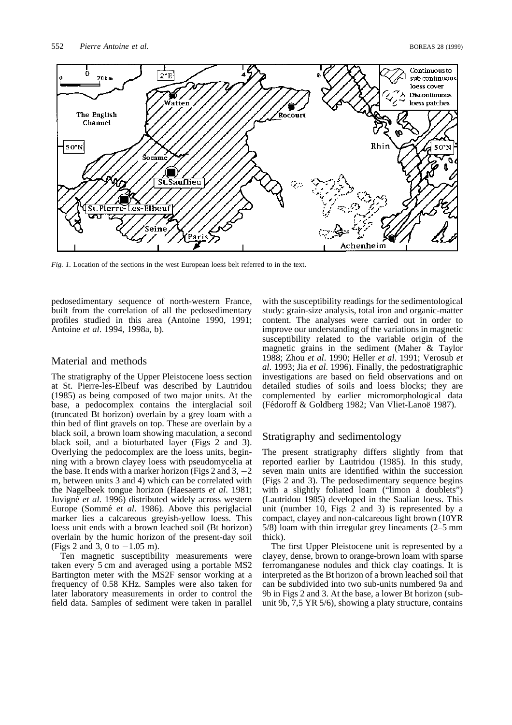

*Fig. 1.* Location of the sections in the west European loess belt referred to in the text.

pedosedimentary sequence of north-western France, built from the correlation of all the pedosedimentary profiles studied in this area (Antoine 1990, 1991; Antoine *et al*. 1994, 1998a, b).

## Material and methods

The stratigraphy of the Upper Pleistocene loess section at St. Pierre-les-Elbeuf was described by Lautridou (1985) as being composed of two major units. At the base, a pedocomplex contains the interglacial soil (truncated Bt horizon) overlain by a grey loam with a thin bed of flint gravels on top. These are overlain by a black soil, a brown loam showing maculation, a second black soil, and a bioturbated layer (Figs 2 and 3). Overlying the pedocomplex are the loess units, beginning with a brown clayey loess with pseudomycelia at the base. It ends with a marker horizon (Figs 2 and 3,  $-2$ ) m, between units 3 and 4) which can be correlated with the Nagelbeek tongue horizon (Haesaerts *et al*. 1981; Juvigné *et al.* 1996) distributed widely across western Europe (Sommé *et al.* 1986). Above this periglacial marker lies a calcareous greyish-yellow loess. This loess unit ends with a brown leached soil (Bt horizon) overlain by the humic horizon of the present-day soil (Figs 2 and 3, 0 to  $-1.05$  m).

Ten magnetic susceptibility measurements were taken every 5 cm and averaged using a portable MS2 Bartington meter with the MS2F sensor working at a frequency of 0.58 KHz. Samples were also taken for later laboratory measurements in order to control the field data. Samples of sediment were taken in parallel

with the susceptibility readings for the sedimentological study: grain-size analysis, total iron and organic-matter content. The analyses were carried out in order to improve our understanding of the variations in magnetic susceptibility related to the variable origin of the magnetic grains in the sediment (Maher & Taylor 1988; Zhou *et al*. 1990; Heller *et al*. 1991; Verosub *et al*. 1993; Jia *et al*. 1996). Finally, the pedostratigraphic investigations are based on field observations and on detailed studies of soils and loess blocks; they are complemented by earlier micromorphological data (Fédoroff & Goldberg 1982; Van Vliet-Lanoë 1987).

# Stratigraphy and sedimentology

The present stratigraphy differs slightly from that reported earlier by Lautridou (1985). In this study, seven main units are identified within the succession (Figs 2 and 3). The pedosedimentary sequence begins with a slightly foliated loam ("limon à doublets") (Lautridou 1985) developed in the Saalian loess. This unit (number 10, Figs 2 and 3) is represented by a compact, clayey and non-calcareous light brown (10YR 5/8) loam with thin irregular grey lineaments (2–5 mm thick).

The first Upper Pleistocene unit is represented by a clayey, dense, brown to orange-brown loam with sparse ferromanganese nodules and thick clay coatings. It is interpreted as the Bt horizon of a brown leached soil that can be subdivided into two sub-units numbered 9a and 9b in Figs 2 and 3. At the base, a lower Bt horizon (subunit 9b, 7,5 YR 5/6), showing a platy structure, contains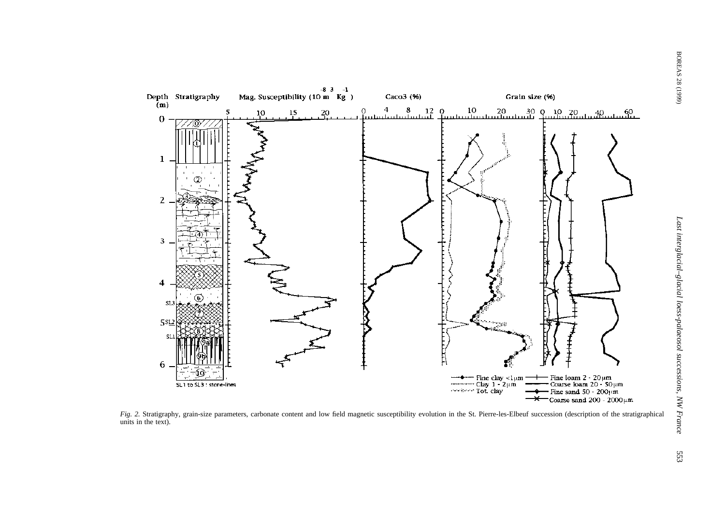

*Fig. 2.* Stratigraphy, grain-size parameters, carbonate content and low field magnetic susceptibility evolution in the St. Pierre-les-Elbeuf succession (description of the stratigraphical units in the text).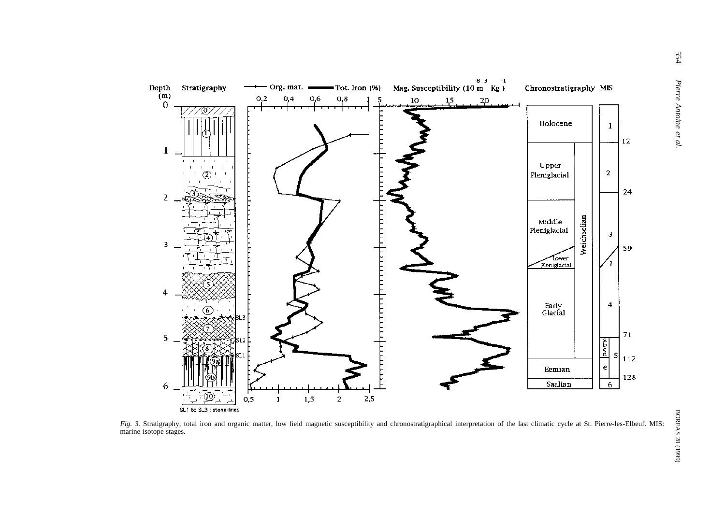

*Fig. 3.* Stratigraphy, total iron and organic matter, low field magnetic susceptibility and chronostratigraphical interpretation of the last climatic cycle at St. Pierre-les-Elbeuf. MIS: marine isotope stages.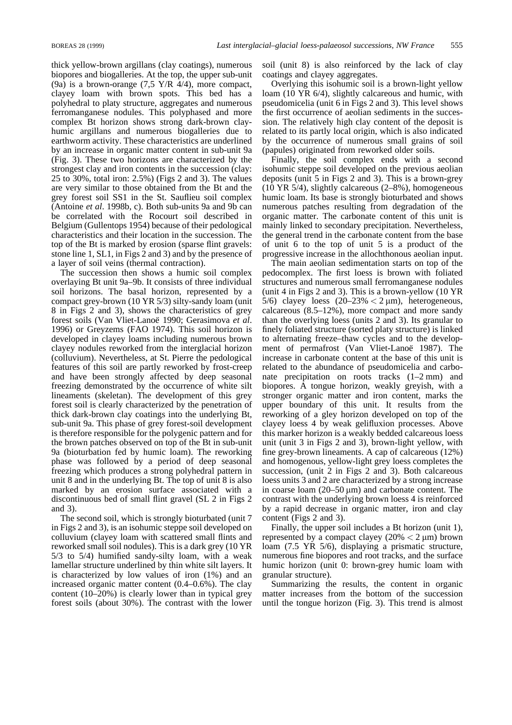thick yellow-brown argillans (clay coatings), numerous biopores and biogalleries. At the top, the upper sub-unit (9a) is a brown-orange  $(7.5 \text{ Y/R } 4/4)$ , more compact, clayey loam with brown spots. This bed has a polyhedral to platy structure, aggregates and numerous ferromanganese nodules. This polyphased and more complex Bt horizon shows strong dark-brown clayhumic argillans and numerous biogalleries due to earthworm activity. These characteristics are underlined by an increase in organic matter content in sub-unit 9a (Fig. 3). These two horizons are characterized by the strongest clay and iron contents in the succession (clay: 25 to 30%, total iron: 2.5%) (Figs 2 and 3). The values are very similar to those obtained from the Bt and the grey forest soil SS1 in the St. Sauflieu soil complex (Antoine *et al*. 1998b, c). Both sub-units 9a and 9b can be correlated with the Rocourt soil described in Belgium (Gullentops 1954) because of their pedological characteristics and their location in the succession. The top of the Bt is marked by erosion (sparse flint gravels: stone line 1, SL1, in Figs 2 and 3) and by the presence of a layer of soil veins (thermal contraction).

The succession then shows a humic soil complex overlaying Bt unit 9a–9b. It consists of three individual soil horizons. The basal horizon, represented by a compact grey-brown (10 YR 5/3) silty-sandy loam (unit 8 in Figs 2 and 3), shows the characteristics of grey forest soils (Van Vliet-Lanoe¨ 1990; Gerasimova *et al*. 1996) or Greyzems (FAO 1974). This soil horizon is developed in clayey loams including numerous brown clayey nodules reworked from the interglacial horizon (colluvium). Nevertheless, at St. Pierre the pedological features of this soil are partly reworked by frost-creep and have been strongly affected by deep seasonal freezing demonstrated by the occurrence of white silt lineaments (skeletan). The development of this grey forest soil is clearly characterized by the penetration of thick dark-brown clay coatings into the underlying Bt, sub-unit 9a. This phase of grey forest-soil development is therefore responsible for the polygenic pattern and for the brown patches observed on top of the Bt in sub-unit 9a (bioturbation fed by humic loam). The reworking phase was followed by a period of deep seasonal freezing which produces a strong polyhedral pattern in unit 8 and in the underlying Bt. The top of unit 8 is also marked by an erosion surface associated with a discontinuous bed of small flint gravel (SL 2 in Figs 2 and 3).

The second soil, which is strongly bioturbated (unit 7 in Figs 2 and 3), is an isohumic steppe soil developed on colluvium (clayey loam with scattered small flints and reworked small soil nodules). This is a dark grey (10 YR 5/3 to 5/4) humified sandy-silty loam, with a weak lamellar structure underlined by thin white silt layers. It is characterized by low values of iron (1%) and an increased organic matter content (0.4–0.6%). The clay content (10–20%) is clearly lower than in typical grey forest soils (about 30%). The contrast with the lower soil (unit 8) is also reinforced by the lack of clay coatings and clayey aggregates.

Overlying this isohumic soil is a brown-light yellow loam (10 YR 6/4), slightly calcareous and humic, with pseudomicelia (unit 6 in Figs 2 and 3). This level shows the first occurrence of aeolian sediments in the succession. The relatively high clay content of the deposit is related to its partly local origin, which is also indicated by the occurrence of numerous small grains of soil (papules) originated from reworked older soils.

Finally, the soil complex ends with a second isohumic steppe soil developed on the previous aeolian deposits (unit 5 in Figs 2 and 3). This is a brown-grey (10 YR 5/4), slightly calcareous (2–8%), homogeneous humic loam. Its base is strongly bioturbated and shows numerous patches resulting from degradation of the organic matter. The carbonate content of this unit is mainly linked to secondary precipitation. Nevertheless, the general trend in the carbonate content from the base of unit 6 to the top of unit 5 is a product of the progressive increase in the allochthonous aeolian input.

The main aeolian sedimentation starts on top of the pedocomplex. The first loess is brown with foliated structures and numerous small ferromanganese nodules (unit 4 in Figs 2 and 3). This is a brown-yellow (10 YR 5/6) clayey loess  $(20-23\% < 2 \,\mu\text{m})$ , heterogeneous, calcareous (8.5–12%), more compact and more sandy than the overlying loess (units 2 and 3). Its granular to finely foliated structure (sorted platy structure) is linked to alternating freeze–thaw cycles and to the development of permafrost (Van Vliet-Lanoë 1987). The increase in carbonate content at the base of this unit is related to the abundance of pseudomicelia and carbonate precipitation on roots tracks (1–2 mm) and biopores. A tongue horizon, weakly greyish, with a stronger organic matter and iron content, marks the upper boundary of this unit. It results from the reworking of a gley horizon developed on top of the clayey loess 4 by weak gelifluxion processes. Above this marker horizon is a weakly bedded calcareous loess unit (unit 3 in Figs 2 and 3), brown-light yellow, with fine grey-brown lineaments. A cap of calcareous (12%) and homogenous, yellow-light grey loess completes the succession, (unit 2 in Figs 2 and 3). Both calcareous loess units 3 and 2 are characterized by a strong increase in coarse loam  $(20-50 \,\mu m)$  and carbonate content. The contrast with the underlying brown loess 4 is reinforced by a rapid decrease in organic matter, iron and clay content (Figs 2 and 3).

Finally, the upper soil includes a Bt horizon (unit 1), represented by a compact clayey ( $20\% < 2 \mu m$ ) brown loam (7.5 YR 5/6), displaying a prismatic structure, numerous fine biopores and root tracks, and the surface humic horizon (unit 0: brown-grey humic loam with granular structure).

Summarizing the results, the content in organic matter increases from the bottom of the succession until the tongue horizon (Fig. 3). This trend is almost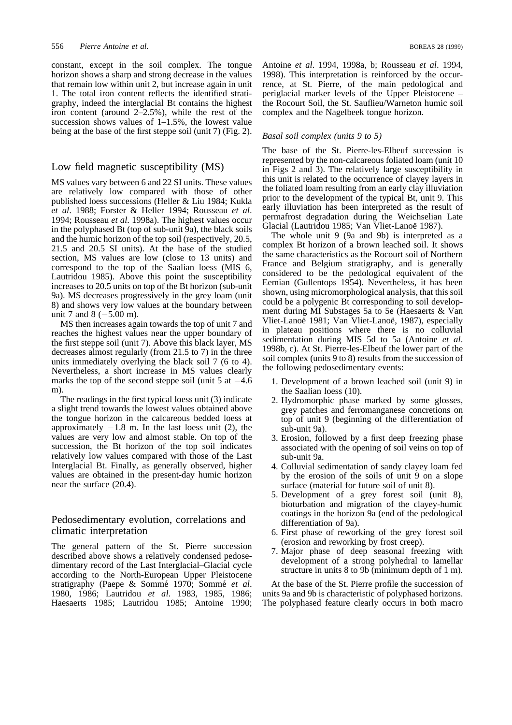constant, except in the soil complex. The tongue horizon shows a sharp and strong decrease in the values that remain low within unit 2, but increase again in unit 1. The total iron content reflects the identified stratigraphy, indeed the interglacial Bt contains the highest iron content (around 2–2.5%), while the rest of the succession shows values of  $1-1.5%$ , the lowest value being at the base of the first steppe soil (unit 7) (Fig. 2).

## Low field magnetic susceptibility (MS)

MS values vary between 6 and 22 SI units. These values are relatively low compared with those of other published loess successions (Heller & Liu 1984; Kukla *et al*. 1988; Forster & Heller 1994; Rousseau *et al*. 1994; Rousseau *et al*. 1998a). The highest values occur in the polyphased Bt (top of sub-unit 9a), the black soils and the humic horizon of the top soil (respectively, 20.5, 21.5 and 20.5 SI units). At the base of the studied section, MS values are low (close to 13 units) and correspond to the top of the Saalian loess (MIS 6, Lautridou 1985). Above this point the susceptibility increases to 20.5 units on top of the Bt horizon (sub-unit 9a). MS decreases progressively in the grey loam (unit 8) and shows very low values at the boundary between unit 7 and 8  $(-5.00 \text{ m})$ .

MS then increases again towards the top of unit 7 and reaches the highest values near the upper boundary of the first steppe soil (unit 7). Above this black layer, MS decreases almost regularly (from 21.5 to 7) in the three units immediately overlying the black soil 7 (6 to 4). Nevertheless, a short increase in MS values clearly marks the top of the second steppe soil (unit  $5$  at  $-4.6$ ) m)

The readings in the first typical loess unit (3) indicate a slight trend towards the lowest values obtained above the tongue horizon in the calcareous bedded loess at approximately  $-1.8$  m. In the last loess unit (2), the values are very low and almost stable. On top of the succession, the Bt horizon of the top soil indicates relatively low values compared with those of the Last Interglacial Bt. Finally, as generally observed, higher values are obtained in the present-day humic horizon near the surface (20.4).

# Pedosedimentary evolution, correlations and climatic interpretation

The general pattern of the St. Pierre succession described above shows a relatively condensed pedosedimentary record of the Last Interglacial–Glacial cycle according to the North-European Upper Pleistocene stratigraphy (Paepe & Somme´ 1970; Somme´ *et al*. 1980, 1986; Lautridou *et al*. 1983, 1985, 1986; Haesaerts 1985; Lautridou 1985; Antoine 1990;

Antoine *et al*. 1994, 1998a, b; Rousseau *et al*. 1994, 1998). This interpretation is reinforced by the occurrence, at St. Pierre, of the main pedological and periglacial marker levels of the Upper Pleistocene – the Rocourt Soil, the St. Sauflieu/Warneton humic soil complex and the Nagelbeek tongue horizon.

#### *Basal soil complex (units 9 to 5)*

The base of the St. Pierre-les-Elbeuf succession is represented by the non-calcareous foliated loam (unit 10 in Figs 2 and 3). The relatively large susceptibility in this unit is related to the occurrence of clayey layers in the foliated loam resulting from an early clay illuviation prior to the development of the typical Bt, unit 9. This early illuviation has been interpreted as the result of permafrost degradation during the Weichselian Late Glacial (Lautridou 1985; Van Vliet-Lanoë 1987).

The whole unit 9 (9a and 9b) is interpreted as a complex Bt horizon of a brown leached soil. It shows the same characteristics as the Rocourt soil of Northern France and Belgium stratigraphy, and is generally considered to be the pedological equivalent of the Eemian (Gullentops 1954). Nevertheless, it has been shown, using micromorphological analysis, that this soil could be a polygenic Bt corresponding to soil development during MI Substages 5a to 5e (Haesaerts & Van Vliet-Lanoë 1981; Van Vliet-Lanoë, 1987), especially in plateau positions where there is no colluvial sedimentation during MIS 5d to 5a (Antoine *et al*. 1998b, c). At St. Pierre-les-Elbeuf the lower part of the soil complex (units 9 to 8) results from the succession of the following pedosedimentary events:

- 1. Development of a brown leached soil (unit 9) in the Saalian loess (10).
- 2. Hydromorphic phase marked by some glosses, grey patches and ferromanganese concretions on top of unit 9 (beginning of the differentiation of sub-unit 9a).
- 3. Erosion, followed by a first deep freezing phase associated with the opening of soil veins on top of sub-unit 9a.
- 4. Colluvial sedimentation of sandy clayey loam fed by the erosion of the soils of unit 9 on a slope surface (material for future soil of unit 8).
- 5. Development of a grey forest soil (unit 8), bioturbation and migration of the clayey-humic coatings in the horizon 9a (end of the pedological differentiation of 9a).
- 6. First phase of reworking of the grey forest soil (erosion and reworking by frost creep).
- 7. Major phase of deep seasonal freezing with development of a strong polyhedral to lamellar structure in units 8 to 9b (minimum depth of 1 m).

At the base of the St. Pierre profile the succession of units 9a and 9b is characteristic of polyphased horizons. The polyphased feature clearly occurs in both macro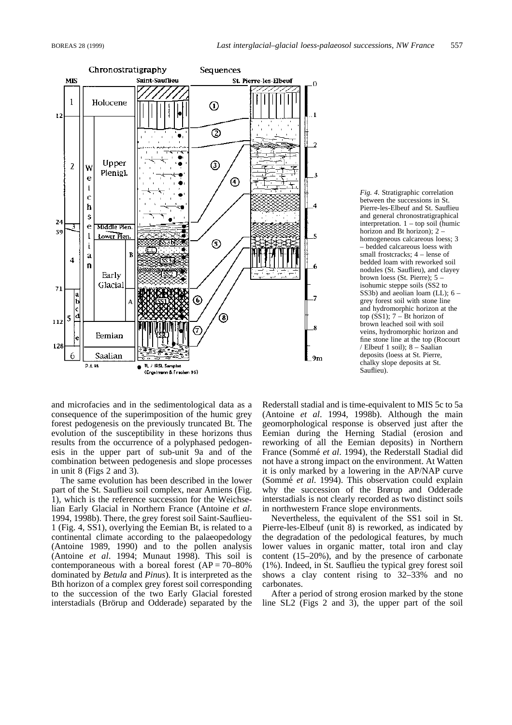

*Fig. 4.* Stratigraphic correlation between the successions in St. Pierre-les-Elbeuf and St. Sauflieu and general chronostratigraphical interpretation. 1 – top soil (humic horizon and Bt horizon); 2 – homogeneous calcareous loess; 3 – bedded calcareous loess with small frostcracks;  $4$  – lense of bedded loam with reworked soil nodules (St. Sauflieu), and clayey brown loess (St. Pierre); 5 – isohumic steppe soils (SS2 to SS3b) and aeolian loam (LL); 6 – grey forest soil with stone line and hydromorphic horizon at the top  $(SS1)$ ; 7 – Bt horizon of brown leached soil with soil veins, hydromorphic horizon and fine stone line at the top (Rocourt / Elbeuf 1 soil); 8 – Saalian deposits (loess at St. Pierre, chalky slope deposits at St. Sauflieu).

and microfacies and in the sedimentological data as a consequence of the superimposition of the humic grey forest pedogenesis on the previously truncated Bt. The evolution of the susceptibility in these horizons thus results from the occurrence of a polyphased pedogenesis in the upper part of sub-unit 9a and of the combination between pedogenesis and slope processes in unit 8 (Figs 2 and 3).

The same evolution has been described in the lower part of the St. Sauflieu soil complex, near Amiens (Fig. 1), which is the reference succession for the Weichselian Early Glacial in Northern France (Antoine *et al*. 1994, 1998b). There, the grey forest soil Saint-Sauflieu-1 (Fig. 4, SS1), overlying the Eemian Bt, is related to a continental climate according to the palaeopedology (Antoine 1989, 1990) and to the pollen analysis (Antoine *et al*. 1994; Munaut 1998). This soil is contemporaneous with a boreal forest  $(AP = 70-80\%)$ dominated by *Betula* and *Pinus*). It is interpreted as the Bth horizon of a complex grey forest soil corresponding to the succession of the two Early Glacial forested interstadials (Brörup and Odderade) separated by the

Rederstall stadial and is time-equivalent to MIS 5c to 5a (Antoine *et al*. 1994, 1998b). Although the main geomorphological response is observed just after the Eemian during the Herning Stadial (erosion and reworking of all the Eemian deposits) in Northern France (Sommé *et al.* 1994), the Rederstall Stadial did not have a strong impact on the environment. At Watten it is only marked by a lowering in the AP/NAP curve (Somme´ *et al*. 1994). This observation could explain why the succession of the Brørup and Odderade interstadials is not clearly recorded as two distinct soils in northwestern France slope environments.

Nevertheless, the equivalent of the SS1 soil in St. Pierre-les-Elbeuf (unit 8) is reworked, as indicated by the degradation of the pedological features, by much lower values in organic matter, total iron and clay content (15–20%), and by the presence of carbonate (1%). Indeed, in St. Sauflieu the typical grey forest soil shows a clay content rising to 32–33% and no carbonates.

After a period of strong erosion marked by the stone line SL2 (Figs 2 and 3), the upper part of the soil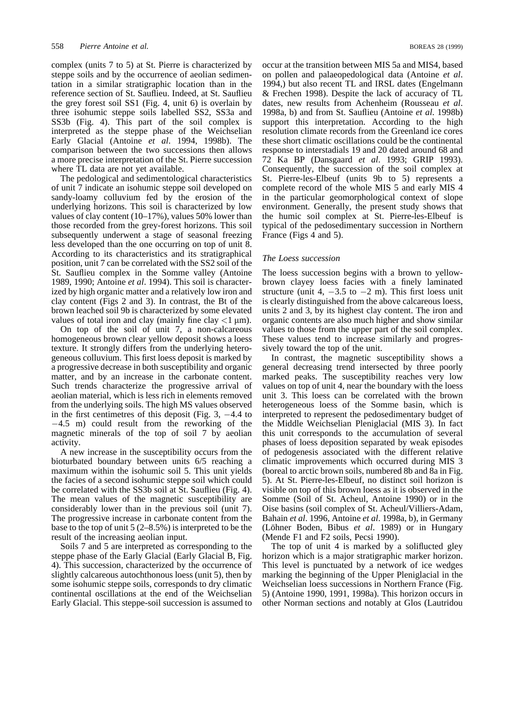complex (units 7 to 5) at St. Pierre is characterized by steppe soils and by the occurrence of aeolian sedimentation in a similar stratigraphic location than in the reference section of St. Sauflieu. Indeed, at St. Sauflieu the grey forest soil SS1 (Fig. 4, unit 6) is overlain by three isohumic steppe soils labelled SS2, SS3a and SS3b (Fig. 4). This part of the soil complex is interpreted as the steppe phase of the Weichselian Early Glacial (Antoine *et al*. 1994, 1998b). The comparison between the two successions then allows a more precise interpretation of the St. Pierre succession where TL data are not yet available.

The pedological and sedimentological characteristics of unit 7 indicate an isohumic steppe soil developed on sandy-loamy colluvium fed by the erosion of the underlying horizons. This soil is characterized by low values of clay content (10–17%), values 50% lower than those recorded from the grey-forest horizons. This soil subsequently underwent a stage of seasonal freezing less developed than the one occurring on top of unit 8. According to its characteristics and its stratigraphical position, unit 7 can be correlated with the SS2 soil of the St. Sauflieu complex in the Somme valley (Antoine 1989, 1990; Antoine *et al*. 1994). This soil is characterized by high organic matter and a relatively low iron and clay content (Figs 2 and 3). In contrast, the Bt of the brown leached soil 9b is characterized by some elevated values of total iron and clay (mainly fine clay  $\langle 1 \mu m \rangle$ ).

On top of the soil of unit 7, a non-calcareous homogeneous brown clear yellow deposit shows a loess texture. It strongly differs from the underlying heterogeneous colluvium. This first loess deposit is marked by a progressive decrease in both susceptibility and organic matter, and by an increase in the carbonate content. Such trends characterize the progressive arrival of aeolian material, which is less rich in elements removed from the underlying soils. The high MS values observed in the first centimetres of this deposit (Fig. 3,  $-4.4$  to  $-4.5$  m) could result from the reworking of the magnetic minerals of the top of soil 7 by aeolian activity.

A new increase in the susceptibility occurs from the bioturbated boundary between units 6/5 reaching a maximum within the isohumic soil 5. This unit yields the facies of a second isohumic steppe soil which could be correlated with the SS3b soil at St. Sauflieu (Fig. 4). The mean values of the magnetic susceptibility are considerably lower than in the previous soil (unit 7). The progressive increase in carbonate content from the base to the top of unit 5 (2–8.5%) is interpreted to be the result of the increasing aeolian input.

Soils 7 and 5 are interpreted as corresponding to the steppe phase of the Early Glacial (Early Glacial B, Fig. 4). This succession, characterized by the occurrence of slightly calcareous autochthonous loess (unit 5), then by some isohumic steppe soils, corresponds to dry climatic continental oscillations at the end of the Weichselian Early Glacial. This steppe-soil succession is assumed to occur at the transition between MIS 5a and MIS4, based on pollen and palaeopedological data (Antoine *et al*. 1994,) but also recent TL and IRSL dates (Engelmann & Frechen 1998). Despite the lack of accuracy of TL dates, new results from Achenheim (Rousseau *et al*. 1998a, b) and from St. Sauflieu (Antoine *et al*. 1998b) support this interpretation. According to the high resolution climate records from the Greenland ice cores these short climatic oscillations could be the continental response to interstadials 19 and 20 dated around 68 and 72 Ka BP (Dansgaard *et al*. 1993; GRIP 1993). Consequently, the succession of the soil complex at St. Pierre-les-Elbeuf (units 9b to 5) represents a complete record of the whole MIS 5 and early MIS 4 in the particular geomorphological context of slope environment. Generally, the present study shows that the humic soil complex at St. Pierre-les-Elbeuf is typical of the pedosedimentary succession in Northern France (Figs 4 and 5).

#### *The Loess succession*

The loess succession begins with a brown to yellowbrown clayey loess facies with a finely laminated structure (unit 4,  $-3.5$  to  $-2$  m). This first loess unit is clearly distinguished from the above calcareous loess, units 2 and 3, by its highest clay content. The iron and organic contents are also much higher and show similar values to those from the upper part of the soil complex. These values tend to increase similarly and progressively toward the top of the unit.

In contrast, the magnetic susceptibility shows a general decreasing trend intersected by three poorly marked peaks. The susceptibility reaches very low values on top of unit 4, near the boundary with the loess unit 3. This loess can be correlated with the brown heterogeneous loess of the Somme basin, which is interpreted to represent the pedosedimentary budget of the Middle Weichselian Pleniglacial (MIS 3). In fact this unit corresponds to the accumulation of several phases of loess deposition separated by weak episodes of pedogenesis associated with the different relative climatic improvements which occurred during MIS 3 (boreal to arctic brown soils, numbered 8b and 8a in Fig. 5). At St. Pierre-les-Elbeuf, no distinct soil horizon is visible on top of this brown loess as it is observed in the Somme (Soil of St. Acheul, Antoine 1990) or in the Oise basins (soil complex of St. Acheul/Villiers-Adam, Bahain *et al*. 1996, Antoine *et al*. 1998a, b), in Germany (Löhner Boden, Bibus et al. 1989) or in Hungary (Mende F1 and F2 soils, Pecsi 1990).

The top of unit 4 is marked by a soliflucted gley horizon which is a major stratigraphic marker horizon. This level is punctuated by a network of ice wedges marking the beginning of the Upper Pleniglacial in the Weichselian loess successions in Northern France (Fig. 5) (Antoine 1990, 1991, 1998a). This horizon occurs in other Norman sections and notably at Glos (Lautridou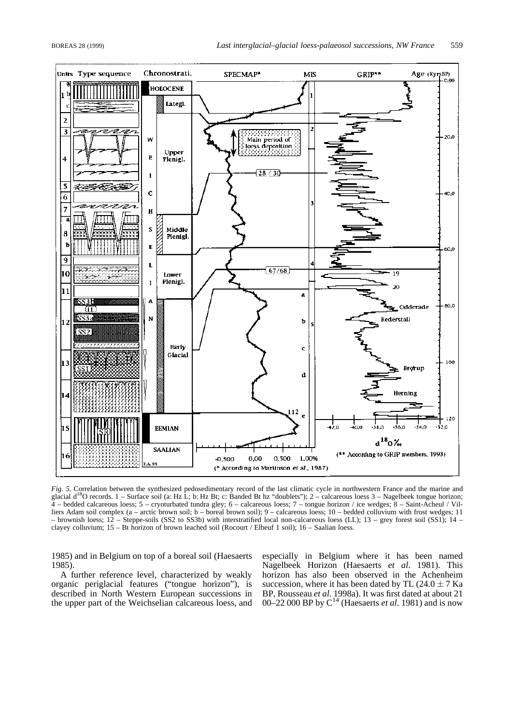

Fig. 5. Correlation between the synthesized pedosedimentary record of the last climatic cycle in northwestern France and the marine and glacial  $d^{18}O$  records.  $1 - S$ urface soil (a: Hz L; b: Hz Bt; c: Banded Bt hz "doubl 4 – bedded calcareous loess; 5 – cryoturbated tundra gley; 6 – calcareous loess; 7 – tongue horizon / ice wedges; 8 – Saint-Acheul / Villiers Adam soil complex (a – arctic brown soil; b – boreal brown soil); 9 – calcareous loess; 10 – bedded colluvium with frost wedges; 11 – brownish loess; 12 – Steppe-soils (SS2 to SS3b) with interstratified local non-calcareous loess (LL); 13 – grey forest soil (SS1); 14 – clayey colluvium; 15 – Bt horizon of brown leached soil (Rocourt / Elbeuf 1 soil); 16 – Saalian loess.

1985) and in Belgium on top of a boreal soil (Haesaerts 1985).

A further reference level, characterized by weakly organic periglacial features ("tongue horizon"), is described in North Western European successions in the upper part of the Weichselian calcareous loess, and especially in Belgium where it has been named Nagelbeek Horizon (Haesaerts *et al*. 1981). This horizon has also been observed in the Achenheim succession, where it has been dated by TL (24.0  $\pm$  7 Ka BP, Rousseau *et al*. 1998a). It was first dated at about 21 00–22 000 BP by C14 (Haesaerts *et al*. 1981) and is now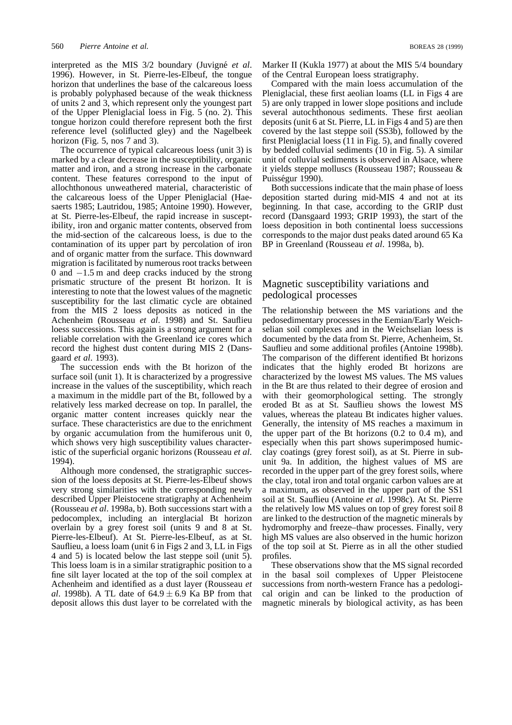interpreted as the MIS 3/2 boundary (Juvigné *et al.*) 1996). However, in St. Pierre-les-Elbeuf, the tongue horizon that underlines the base of the calcareous loess is probably polyphased because of the weak thickness of units 2 and 3, which represent only the youngest part of the Upper Pleniglacial loess in Fig. 5 (no. 2). This tongue horizon could therefore represent both the first reference level (soliflucted gley) and the Nagelbeek horizon (Fig. 5, nos 7 and 3).

The occurrence of typical calcareous loess (unit 3) is marked by a clear decrease in the susceptibility, organic matter and iron, and a strong increase in the carbonate content. These features correspond to the input of allochthonous unweathered material, characteristic of the calcareous loess of the Upper Pleniglacial (Haesaerts 1985; Lautridou, 1985; Antoine 1990). However, at St. Pierre-les-Elbeuf, the rapid increase in susceptibility, iron and organic matter contents, observed from the mid-section of the calcareous loess, is due to the contamination of its upper part by percolation of iron and of organic matter from the surface. This downward migration is facilitated by numerous root tracks between 0 and  $-1.5$  m and deep cracks induced by the strong prismatic structure of the present Bt horizon. It is interesting to note that the lowest values of the magnetic susceptibility for the last climatic cycle are obtained from the MIS 2 loess deposits as noticed in the Achenheim (Rousseau *et al*. 1998) and St. Sauflieu loess successions. This again is a strong argument for a reliable correlation with the Greenland ice cores which record the highest dust content during MIS 2 (Dansgaard *et al*. 1993).

The succession ends with the Bt horizon of the surface soil (unit 1). It is characterized by a progressive increase in the values of the susceptibility, which reach a maximum in the middle part of the Bt, followed by a relatively less marked decrease on top. In parallel, the organic matter content increases quickly near the surface. These characteristics are due to the enrichment by organic accumulation from the humiferous unit 0, which shows very high susceptibility values characteristic of the superficial organic horizons (Rousseau *et al*. 1994).

Although more condensed, the stratigraphic succession of the loess deposits at St. Pierre-les-Elbeuf shows very strong similarities with the corresponding newly described Upper Pleistocene stratigraphy at Achenheim (Rousseau *et al*. 1998a, b). Both successions start with a pedocomplex, including an interglacial Bt horizon overlain by a grey forest soil (units 9 and 8 at St. Pierre-les-Elbeuf). At St. Pierre-les-Elbeuf, as at St. Sauflieu, a loess loam (unit 6 in Figs 2 and 3, LL in Figs 4 and 5) is located below the last steppe soil (unit 5). This loess loam is in a similar stratigraphic position to a fine silt layer located at the top of the soil complex at Achenheim and identified as a dust layer (Rousseau *et al*. 1998b). A TL date of  $64.9 \pm 6.9$  Ka BP from that deposit allows this dust layer to be correlated with the

Marker II (Kukla 1977) at about the MIS 5/4 boundary of the Central European loess stratigraphy.

Compared with the main loess accumulation of the Pleniglacial, these first aeolian loams (LL in Figs 4 are 5) are only trapped in lower slope positions and include several autochthonous sediments. These first aeolian deposits (unit 6 at St. Pierre, LL in Figs 4 and 5) are then covered by the last steppe soil (SS3b), followed by the first Pleniglacial loess (11 in Fig. 5), and finally covered by bedded colluvial sediments (10 in Fig. 5). A similar unit of colluvial sediments is observed in Alsace, where it yields steppe molluscs (Rousseau 1987; Rousseau & Puisségur 1990).

Both successions indicate that the main phase of loess deposition started during mid-MIS 4 and not at its beginning. In that case, according to the GRIP dust record (Dansgaard 1993; GRIP 1993), the start of the loess deposition in both continental loess successions corresponds to the major dust peaks dated around 65 Ka BP in Greenland (Rousseau *et al*. 1998a, b).

## Magnetic susceptibility variations and pedological processes

The relationship between the MS variations and the pedosedimentary processes in the Eemian/Early Weichselian soil complexes and in the Weichselian loess is documented by the data from St. Pierre, Achenheim, St. Sauflieu and some additional profiles (Antoine 1998b). The comparison of the different identified Bt horizons indicates that the highly eroded Bt horizons are characterized by the lowest MS values. The MS values in the Bt are thus related to their degree of erosion and with their geomorphological setting. The strongly eroded Bt as at St. Sauflieu shows the lowest MS values, whereas the plateau Bt indicates higher values. Generally, the intensity of MS reaches a maximum in the upper part of the Bt horizons (0.2 to 0.4 m), and especially when this part shows superimposed humicclay coatings (grey forest soil), as at St. Pierre in subunit 9a. In addition, the highest values of MS are recorded in the upper part of the grey forest soils, where the clay, total iron and total organic carbon values are at a maximum, as observed in the upper part of the SS1 soil at St. Sauflieu (Antoine *et al*. 1998c). At St. Pierre the relatively low MS values on top of grey forest soil 8 are linked to the destruction of the magnetic minerals by hydromorphy and freeze–thaw processes. Finally, very high MS values are also observed in the humic horizon of the top soil at St. Pierre as in all the other studied profiles.

These observations show that the MS signal recorded in the basal soil complexes of Upper Pleistocene successions from north-western France has a pedological origin and can be linked to the production of magnetic minerals by biological activity, as has been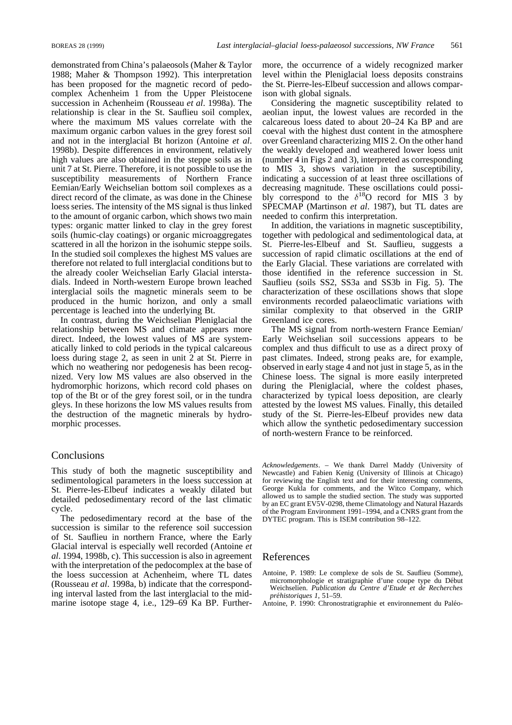demonstrated from China's palaeosols (Maher & Taylor 1988; Maher & Thompson 1992). This interpretation has been proposed for the magnetic record of pedocomplex Achenheim 1 from the Upper Pleistocene succession in Achenheim (Rousseau *et al*. 1998a). The relationship is clear in the St. Sauflieu soil complex, where the maximum MS values correlate with the maximum organic carbon values in the grey forest soil and not in the interglacial Bt horizon (Antoine *et al*. 1998b). Despite differences in environment, relatively high values are also obtained in the steppe soils as in unit 7 at St. Pierre. Therefore, it is not possible to use the susceptibility measurements of Northern France Eemian/Early Weichselian bottom soil complexes as a direct record of the climate, as was done in the Chinese loess series. The intensity of the MS signal is thus linked to the amount of organic carbon, which shows two main types: organic matter linked to clay in the grey forest soils (humic-clay coatings) or organic microaggregates scattered in all the horizon in the isohumic steppe soils. In the studied soil complexes the highest MS values are therefore not related to full interglacial conditions but to the already cooler Weichselian Early Glacial interstadials. Indeed in North-western Europe brown leached interglacial soils the magnetic minerals seem to be produced in the humic horizon, and only a small percentage is leached into the underlying Bt.

In contrast, during the Weichselian Pleniglacial the relationship between MS and climate appears more direct. Indeed, the lowest values of MS are systematically linked to cold periods in the typical calcareous loess during stage 2, as seen in unit 2 at St. Pierre in which no weathering nor pedogenesis has been recognized. Very low MS values are also observed in the hydromorphic horizons, which record cold phases on top of the Bt or of the grey forest soil, or in the tundra gleys. In these horizons the low MS values results from the destruction of the magnetic minerals by hydromorphic processes.

### **Conclusions**

This study of both the magnetic susceptibility and sedimentological parameters in the loess succession at St. Pierre-les-Elbeuf indicates a weakly dilated but detailed pedosedimentary record of the last climatic cycle.

The pedosedimentary record at the base of the succession is similar to the reference soil succession of St. Sauflieu in northern France, where the Early Glacial interval is especially well recorded (Antoine *et al*. 1994, 1998b, c). This succession is also in agreement with the interpretation of the pedocomplex at the base of the loess succession at Achenheim, where TL dates (Rousseau *et al*. 1998a, b) indicate that the corresponding interval lasted from the last interglacial to the midmarine isotope stage 4, i.e., 129–69 Ka BP. Furthermore, the occurrence of a widely recognized marker level within the Pleniglacial loess deposits constrains the St. Pierre-les-Elbeuf succession and allows comparison with global signals.

Considering the magnetic susceptibility related to aeolian input, the lowest values are recorded in the calcareous loess dated to about 20–24 Ka BP and are coeval with the highest dust content in the atmosphere over Greenland characterizing MIS 2. On the other hand the weakly developed and weathered lower loess unit (number 4 in Figs 2 and 3), interpreted as corresponding to MIS 3, shows variation in the susceptibility, indicating a succession of at least three oscillations of decreasing magnitude. These oscillations could possibly correspond to the  $\delta^{18}$ O record for MIS 3 by SPECMAP (Martinson *et al*. 1987), but TL dates are needed to confirm this interpretation.

In addition, the variations in magnetic susceptibility, together with pedological and sedimentological data, at St. Pierre-les-Elbeuf and St. Sauflieu, suggests a succession of rapid climatic oscillations at the end of the Early Glacial. These variations are correlated with those identified in the reference succession in St. Sauflieu (soils SS2, SS3a and SS3b in Fig. 5). The characterization of these oscillations shows that slope environments recorded palaeoclimatic variations with similar complexity to that observed in the GRIP Greenland ice cores.

The MS signal from north-western France Eemian/ Early Weichselian soil successions appears to be complex and thus difficult to use as a direct proxy of past climates. Indeed, strong peaks are, for example, observed in early stage 4 and not just in stage 5, as in the Chinese loess. The signal is more easily interpreted during the Pleniglacial, where the coldest phases, characterized by typical loess deposition, are clearly attested by the lowest MS values. Finally, this detailed study of the St. Pierre-les-Elbeuf provides new data which allow the synthetic pedosedimentary succession of north-western France to be reinforced.

*Acknowledgements*. – We thank Darrel Maddy (University of Newcastle) and Fabien Kenig (University of Illinois at Chicago) for reviewing the English text and for their interesting comments, George Kukla for comments, and the Witco Company, which allowed us to sample the studied section. The study was supported by an EC grant EV5V-0298, theme Climatology and Natural Hazards of the Program Environment 1991–1994, and a CNRS grant from the DYTEC program. This is ISEM contribution 98–122.

#### References

- Antoine, P. 1989: Le complexe de sols de St. Sauflieu (Somme), micromorphologie et stratigraphie d'une coupe type du Début Weichselien. *Publication du Centre d'Etude et de Recherches pre´historiques 1*, 51–59.
- Antoine, P. 1990: Chronostratigraphie et environnement du Paléo-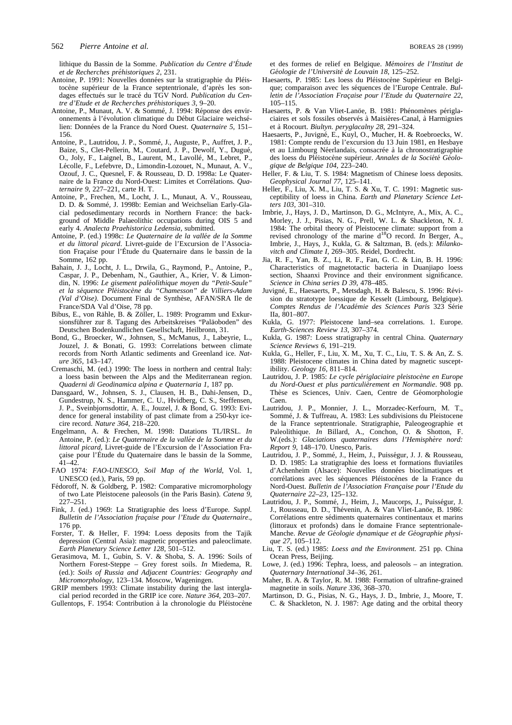lithique du Bassin de la Somme. *Publication du Centre d'E´tude et de Recherches pre´historiques 2*, 231.

- Antoine, P. 1991: Nouvelles données sur la stratigraphie du Pléistocène supérieur de la France septentrionale, d'après les sondages effectués sur le tracé du TGV Nord. *Publication du Centre d'Etude et de Recherches pre´historiques 3*, 9–20.
- Antoine, P., Munaut, A. V. & Sommé, J. 1994: Réponse des environnements à l'évolution climatique du Début Glaciaire weichsélien: Données de la France du Nord Ouest. *Quaternaire* 5, 151– 156.
- Antoine, P., Lautridou, J. P., Sommé, J., Auguste, P., Auffret, J. P., Baize, S., Clet-Pellerin, M., Coutard, J. P., Dewolf, Y., Dugué, O., Joly, F., Laignel, B., Laurent, M., Lavollé, M., Lebret, P., Lécolle, F., Lefebvre, D., Limondin-Lozouet, N., Munaut, A. V., Ozouf, J. C., Quesnel, F. & Rousseau, D. D. 1998a: Le Quaternaire de la France du Nord-Ouest: Limites et Corrélations. Qua*ternaire 9,* 227–221, carte H. T.
- Antoine, P., Frechen, M., Locht, J. L., Munaut, A. V., Rousseau, D. D. & Sommé, J. 1998b: Eemian and Weichselian Early-Glacial pedosedimentary records in Northern France: the background of Middle Palaeolithic occupations during OIS 5 and early 4. *Analecta Praehistorica Ledensia*, submitted.
- Antoine, P. (ed.) 1998c: *Le Quaternaire de la valle´e de la Somme et du littoral picard*. Livret-guide de l'Excursion de l'Association Fraçaise pour l'Étude du Quaternaire dans le bassin de la Somme, 162 pp.
- Bahain, J. J., Locht, J. L., Drwila, G., Raymond, P., Antoine, P., Caspar, J. P., Debenham, N., Gauthier, A., Krier, V. & Limondin, N. 1996: *Le gisement pale´olithique moyen du "Petit-Saule" et la se´quence Ple´istoce`ne du "Chamesson" de Villiers-Adam (Val d'Oise)*. Document Final de Synthèse, AFAN/SRA Ile de France/SDA Val d'Oise, 78 pp.
- Bibus, E., von Rähle, B. & Zöller, L. 1989: Programm und Exkursionsführer zur 8. Tagung des Arbeitskreises "Paläoboden" des Deutschen Bodenkundlichen Gesellschaft, Heilbronn, 31.
- Bond, G., Broecker, W., Johnsen, S., McManus, J., Labeyrie, L., Jouzel, J. & Bonati, G. 1993: Correlations between climate records from North Atlantic sediments and Greenland ice. *Nature 365*, 143–147.
- Cremaschi, M. (ed.) 1990: The loess in northern and central Italy: a loess basin between the Alps and the Mediterranean region. *Quaderni di Geodinamica alpina e Quaternaria 1*, 187 pp.
- Dansgaard, W., Johnsen, S. J., Clausen, H. B., Dahi-Jensen, D., Gundestrup, N. S., Hammer, C. U., Hvidberg, C. S., Steffensen, J. P., Sveinbjornsdottir, A. E., Jouzel, J. & Bond, G. 1993: Evidence for general instability of past climate from a 250-kyr icecire record. *Nature 364*, 218–220.
- Engelmann, A. & Frechen, M. 1998: Datations TL/IRSL. *In* Antoine, P. (ed.): *Le Quaternaire de la valle´e de la Somme et du littoral picard*, Livret-guide de l'Excursion de l'Association Fraçaise pour l'Étude du Quaternaire dans le bassin de la Somme, 41–42.
- FAO 1974: *FAO-UNESCO, Soil Map of the World*, Vol. 1, UNESCO (ed.), Paris, 59 pp.
- Fédoroff, N. & Goldberg, P. 1982: Comparative micromorphology of two Late Pleistocene paleosols (in the Paris Basin). *Catena 9*, 227–251.
- Fink, J. (ed.) 1969: La Stratigraphie des loess d'Europe. *Suppl. Bulletin de l'Association frac¸aise pour l'Etude du Quaternaire*., 176 pp.
- Forster, T. & Heller, F. 1994: Loess deposits from the Tajik depression (Central Asia): magnetic properties and paleoclimate. *Earth Planetary Science Letter 128*, 501–512.
- Gerasimova, M. I., Gubin, S. V. & Shoba, S. A. 1996: Soils of Northern Forest-Steppe – Grey forest soils. *In* Miedema, R. (ed.): *Soils of Russia and Adjacent Countries: Geography and Micromorphology*, 123–134. Moscow, Wageningen.
- GRIP members 1993: Climate instability during the last interglacial period recorded in the GRIP ice core. *Nature 364*, 203–207. Gullentops, F. 1954: Contribution à la chronologie du Pléistocène

et des formes de relief en Belgique. *Me´moires de l'Institut de Ge´ologie de l'Universite´ de Louvain 18*, 125–252.

- Haesaerts, P. 1985: Les loess du Pléistocène Supérieur en Belgique; comparaison avec les séquences de l'Europe Centrale. Bul*letin de l'Association Frac¸aise pour l'Etude du Quaternaire 22*, 105–115.
- Haesaerts, P. & Van Vliet-Lanöe, B. 1981: Phénomènes périglaciaires et sols fossiles observés à Maisières-Canal, à Harmignies et a` Rocourt. *Biultyn. peryglacalny 28*, 291–324.
- Haesaerts, P., Juvigné, E., Kuyl, O., Mucher, H. & Roebroecks, W. 1981: Compte rendu de l'excursion du 13 Juin 1981, en Hesbaye et au Limbourg Néerlandais, consacrée à la chronostratigraphie des loess du Pléistocène supérieur. *Annales de la Société Géologique de Belgique 104*, 223–240.
- Heller, F. & Liu, T. S. 1984: Magnetism of Chinese loess deposits. *Geophysical Journal 77*, 125–141.
- Heller, F., Liu, X. M., Liu, T. S. & Xu, T. C. 1991: Magnetic susceptibility of loess in China. *Earth and Planetary Science Letters 103*, 301–310.
- Imbrie, J., Hays, J. D., Martinson, D. G., McIntyre, A., Mix, A. C., Morley, J. J., Pisias, N. G., Prell, W. L. & Shackleton, N. J. 1984: The orbital theory of Pleistocene climate: support from a revised chronology of the marine d<sup>18</sup>O record. *In* Berger, A., Imbrie, J., Hays, J., Kukla, G. & Saltzman, B. (eds.): *Milankovitch and Climate I*, 269–305. Reidel, Dordrecht.
- Jia, R. F., Yan, B. Z., Li, R. F., Fan, G. C. & Lin, B. H. 1996: Characteristics of magnetotactic bacteria in Duanjiapo loess section, Shaanxi Province and their environment significance. *Science in China series D 39*, 478–485.
- Juvigné, E., Haesaerts, P., Metsdagh, H. & Balescu, S. 1996: Révision du stratotype loessique de Kesselt (Limbourg, Belgique). *Comptes Rendus de l'Acade´mie des Sciences Paris* 323 Se´rie IIa, 801–807.
- Kukla, G. 1977: Pleistocene land–sea correlations. 1. Europe. *Earth-Sciences Review 13*, 307–374.
- Kukla, G. 1987: Loess stratigraphy in central China. *Quaternary Science Reviews 6*, 191–219.
- Kukla, G., Heller, F., Liu, X. M., Xu, T. C., Liu, T. S. & An, Z. S. 1988: Pleistocene climates in China dated by magnetic susceptibility. *Geology 16*, 811–814.
- Lautridou, J. P. 1985: *Le cycle pe´riglaciaire pleistoce`ne en Europe du Nord-Ouest et plus particulie`rement en Normandie*. 908 pp. Thèse es Sciences, Univ. Caen, Centre de Géomorphologie Caen.
- Lautridou, J. P., Monnier, J. L., Morzadec-Kerfourn, M. T., Sommé, J. & Tuffreau, A. 1983: Les subdivisions du Pleistocene de la France septentrionale. Stratigraphie, Paleogeographie et Paleolithique. *In* Billard, A., Conchon, O. & Shotton, F. W.(eds.): *Glaciations quaternaires dans l'Hemisphe`re nord: Report 9*, 148–170. Unesco, Paris.
- Lautridou, J. P., Sommé, J., Heim, J., Puisségur, J. J. & Rousseau, D. D. 1985: La stratigraphie des loess et formations fluviatiles d'Achenheim (Alsace): Nouvelles données bioclimatiques et corrélations avec les séquences Pléistocènes de la France du Nord-Ouest. *Bulletin de l'Association Franc¸aise pour l'Etude du Quaternaire 22–23*, 125–132.
- Lautridou, J. P., Sommé, J., Heim, J., Maucorps, J., Puisségur, J. J., Rousseau, D. D., Thévenin, A. & Van Vliet-Lanöe, B. 1986: Corrélations entre sédiments quaternaires continentaux et marins (littoraux et profonds) dans le domaine France septentrionale-Manche. *Revue de Ge´ologie dynamique et de Ge´ographie physique 27*, 105–112.
- Liu, T. S. (ed.) 1985: *Loess and the Environment.* 251 pp. China Ocean Press, Beijing.
- Lowe, J. (ed.) 1996: Tephra, loess, and paleosols an integration. *Quaternary International 34–36*, 261.
- Maher, B. A. & Taylor, R. M. 1988: Formation of ultrafine-grained magnetite in soils. *Nature 336*, 368–370.
- Martinson, D. G., Pisias, N. G., Hays, J. D., Imbrie, J., Moore, T. C. & Shackleton, N. J. 1987: Age dating and the orbital theory